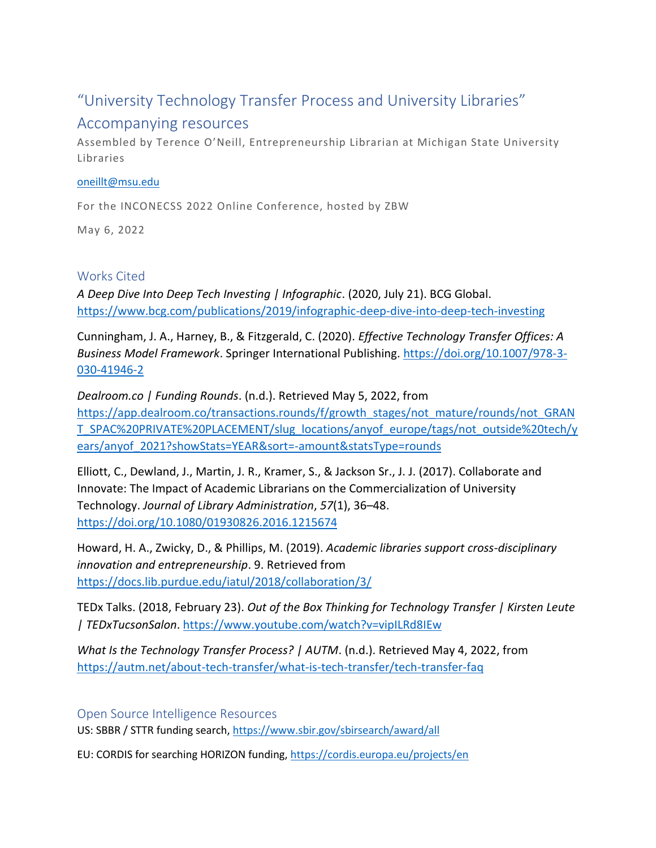# "University Technology Transfer Process and University Libraries"

## Accompanying resources

Assembled by Terence O'Neill, Entrepreneurship Librarian at Michigan State University Libraries

### [oneillt@msu.edu](mailto:oneillt@msu.edu)

For the INCONECSS 2022 Online Conference, hosted by ZBW

May 6, 2022

## Works Cited

*A Deep Dive Into Deep Tech Investing | Infographic*. (2020, July 21). BCG Global. <https://www.bcg.com/publications/2019/infographic-deep-dive-into-deep-tech-investing>

Cunningham, J. A., Harney, B., & Fitzgerald, C. (2020). *Effective Technology Transfer Offices: A Business Model Framework*. Springer International Publishing. [https://doi.org/10.1007/978-3-](https://doi.org/10.1007/978-3-030-41946-2) [030-41946-2](https://doi.org/10.1007/978-3-030-41946-2)

*Dealroom.co | Funding Rounds*. (n.d.). Retrieved May 5, 2022, from [https://app.dealroom.co/transactions.rounds/f/growth\\_stages/not\\_mature/rounds/not\\_GRAN](https://app.dealroom.co/transactions.rounds/f/growth_stages/not_mature/rounds/not_GRANT_SPAC%20PRIVATE%20PLACEMENT/slug_locations/anyof_europe/tags/not_outside%20tech/years/anyof_2021?showStats=YEAR&sort=-amount&statsType=rounds) [T\\_SPAC%20PRIVATE%20PLACEMENT/slug\\_locations/anyof\\_europe/tags/not\\_outside%20tech/y](https://app.dealroom.co/transactions.rounds/f/growth_stages/not_mature/rounds/not_GRANT_SPAC%20PRIVATE%20PLACEMENT/slug_locations/anyof_europe/tags/not_outside%20tech/years/anyof_2021?showStats=YEAR&sort=-amount&statsType=rounds) [ears/anyof\\_2021?showStats=YEAR&sort=-amount&statsType=rounds](https://app.dealroom.co/transactions.rounds/f/growth_stages/not_mature/rounds/not_GRANT_SPAC%20PRIVATE%20PLACEMENT/slug_locations/anyof_europe/tags/not_outside%20tech/years/anyof_2021?showStats=YEAR&sort=-amount&statsType=rounds)

Elliott, C., Dewland, J., Martin, J. R., Kramer, S., & Jackson Sr., J. J. (2017). Collaborate and Innovate: The Impact of Academic Librarians on the Commercialization of University Technology. *Journal of Library Administration*, *57*(1), 36–48. <https://doi.org/10.1080/01930826.2016.1215674>

Howard, H. A., Zwicky, D., & Phillips, M. (2019). *Academic libraries support cross-disciplinary innovation and entrepreneurship*. 9. Retrieved from <https://docs.lib.purdue.edu/iatul/2018/collaboration/3/>

TEDx Talks. (2018, February 23). *Out of the Box Thinking for Technology Transfer | Kirsten Leute | TEDxTucsonSalon*.<https://www.youtube.com/watch?v=vipILRd8IEw>

*What Is the Technology Transfer Process? | AUTM*. (n.d.). Retrieved May 4, 2022, from <https://autm.net/about-tech-transfer/what-is-tech-transfer/tech-transfer-faq>

## Open Source Intelligence Resources

US: SBBR / STTR funding search,<https://www.sbir.gov/sbirsearch/award/all>

EU: CORDIS for searching HORIZON funding,<https://cordis.europa.eu/projects/en>